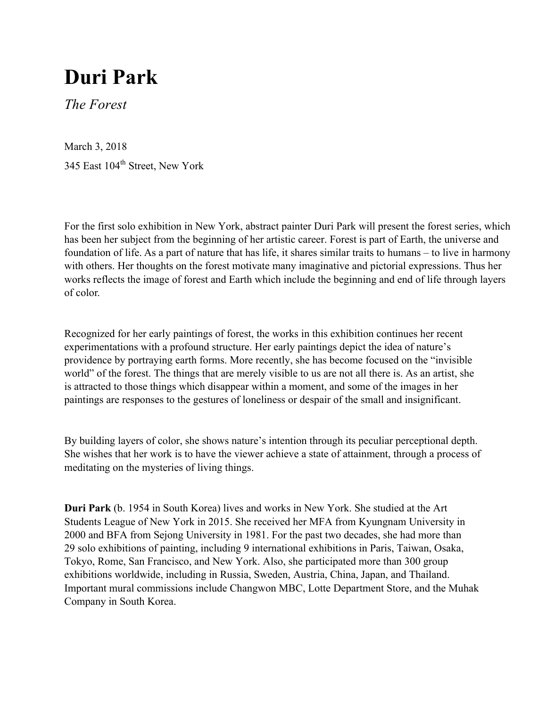## **Duri Park**

*The Forest*

March 3, 2018 345 East 104<sup>th</sup> Street, New York

For the first solo exhibition in New York, abstract painter Duri Park will present the forest series, which has been her subject from the beginning of her artistic career. Forest is part of Earth, the universe and foundation of life. As a part of nature that has life, it shares similar traits to humans – to live in harmony with others. Her thoughts on the forest motivate many imaginative and pictorial expressions. Thus her works reflects the image of forest and Earth which include the beginning and end of life through layers of color.

Recognized for her early paintings of forest, the works in this exhibition continues her recent experimentations with a profound structure. Her early paintings depict the idea of nature's providence by portraying earth forms. More recently, she has become focused on the "invisible world" of the forest. The things that are merely visible to us are not all there is. As an artist, she is attracted to those things which disappear within a moment, and some of the images in her paintings are responses to the gestures of loneliness or despair of the small and insignificant.

By building layers of color, she shows nature's intention through its peculiar perceptional depth. She wishes that her work is to have the viewer achieve a state of attainment, through a process of meditating on the mysteries of living things.

**Duri Park** (b. 1954 in South Korea) lives and works in New York. She studied at the Art Students League of New York in 2015. She received her MFA from Kyungnam University in 2000 and BFA from Sejong University in 1981. For the past two decades, she had more than 29 solo exhibitions of painting, including 9 international exhibitions in Paris, Taiwan, Osaka, Tokyo, Rome, San Francisco, and New York. Also, she participated more than 300 group exhibitions worldwide, including in Russia, Sweden, Austria, China, Japan, and Thailand. Important mural commissions include Changwon MBC, Lotte Department Store, and the Muhak Company in South Korea.